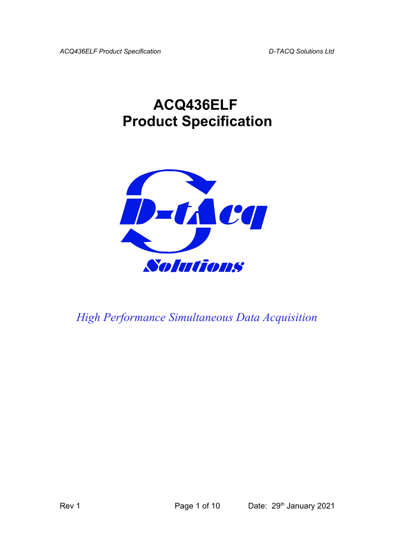## **ACQ436ELF Product Specification**



*High Performance Simultaneous Data Acquisition*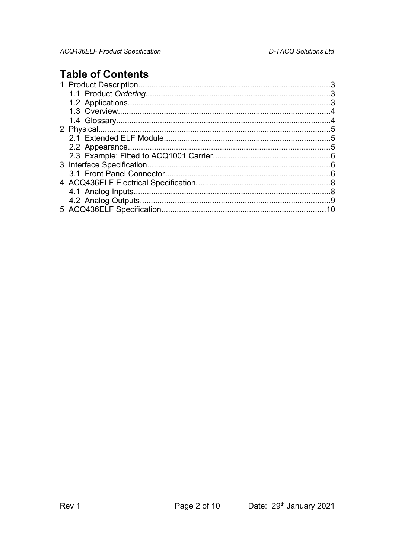## **Table of Contents**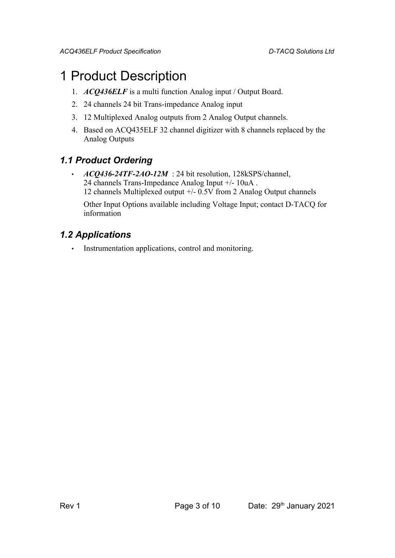## 1 Product Description

- 1. *ACQ436ELF* is a multi function Analog input / Output Board.
- 2. 24 channels 24 bit Trans-impedance Analog input
- 3. 12 Multiplexed Analog outputs from 2 Analog Output channels.
- 4. Based on ACQ435ELF 32 channel digitizer with 8 channels replaced by the Analog Outputs

#### *1.1 Product Ordering*

• *ACQ436-24TF-2AO-12M* : 24 bit resolution, 128kSPS/channel, 24 channels Trans-Impedance Analog Input +/- 10uA . 12 channels Multiplexed output +/- 0.5V from 2 Analog Output channels

Other Input Options available including Voltage Input; contact D-TACQ for information

#### *1.2 Applications*

• Instrumentation applications, control and monitoring.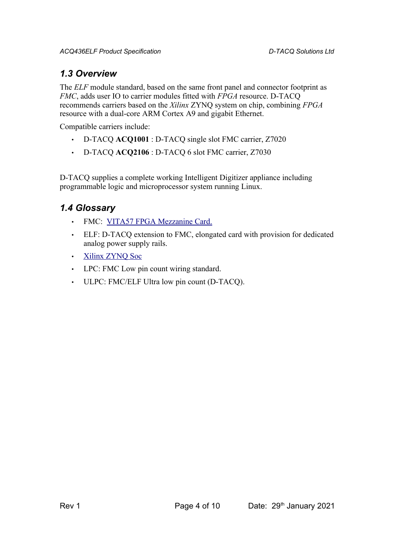#### *1.3 Overview*

The *ELF* module standard, based on the same front panel and connector footprint as *FMC*, adds user IO to carrier modules fitted with *FPGA* resource. D-TACQ recommends carriers based on the *Xilinx* ZYNQ system on chip, combining *FPGA* resource with a dual-core ARM Cortex A9 and gigabit Ethernet.

Compatible carriers include:

- D-TACQ **ACQ1001** : D-TACQ single slot FMC carrier, Z7020
- D-TACQ **ACQ2106** : D-TACQ 6 slot FMC carrier, Z7030

D-TACQ supplies a complete working Intelligent Digitizer appliance including programmable logic and microprocessor system running Linux.

#### *1.4 Glossary*

- FMC: [VITA57 FPGA Mezzanine Card.](http://www.vita.com/fmc.html)
- ELF: D-TACQ extension to FMC, elongated card with provision for dedicated analog power supply rails.
- • [Xilinx ZYNQ Soc](http://www.xilinx.com/products/silicon-devices/soc/zynq-7000/index.htm)
- LPC: FMC Low pin count wiring standard.
- ULPC: FMC/ELF Ultra low pin count (D-TACQ).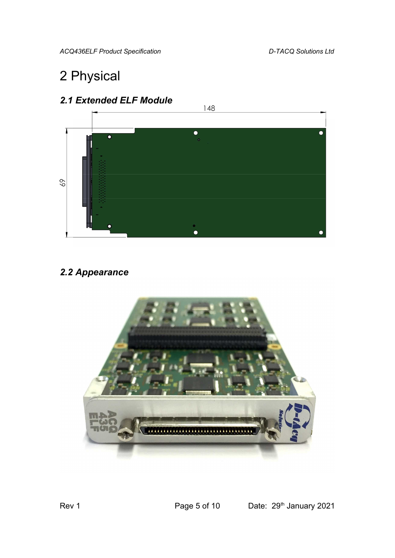## 2 Physical





#### *2.2 Appearance*

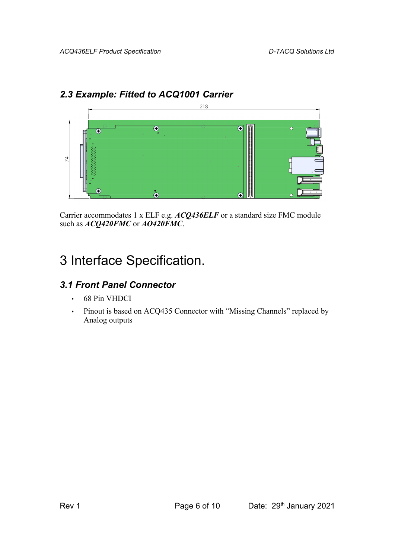### *2.3 Example: Fitted to ACQ1001 Carrier*



Carrier accommodates 1 x ELF e.g. *ACQ436ELF* or a standard size FMC module such as *ACQ420FMC* or *AO420FMC*.

## 3 Interface Specification.

### *3.1 Front Panel Connector*

- 68 Pin VHDCI
- Pinout is based on ACQ435 Connector with "Missing Channels" replaced by Analog outputs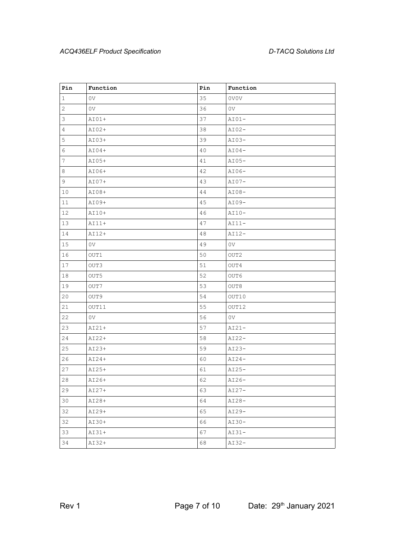| Pin            | Function       | Pin    | Function       |
|----------------|----------------|--------|----------------|
| $\mathbf{1}$   | 0 <sub>V</sub> | 35     | 0V0V           |
| $\overline{c}$ | 0 <sub>V</sub> | 36     | 0 <sub>V</sub> |
| 3              | $AIO1+$        | 37     | $AIO1-$        |
| $\overline{4}$ | AI02+          | 38     | $AIO2-$        |
| 5              | $AIO3+$        | 39     | $AIO3-$        |
| 6              | $AIO4+$        | 40     | $AIO4-$        |
| $\overline{7}$ | AI05+          | 41     | $AI05-$        |
| 8              | AI06+          | 42     | $AI06-$        |
| 9              | $AIO7+$        | 43     | $AI07-$        |
| 10             | $AIO8+$        | $4\,4$ | $AIO8-$        |
| 11             | AI09+          | 45     | $AIO9-$        |
| 12             | AI10+          | 46     | $AI10-$        |
| 13             | $AIII+$        | 47     | $AIII -$       |
| 14             | AI12+          | 48     | $AI12-$        |
| 15             | 0 <sub>V</sub> | 49     | 0 <sub>V</sub> |
| 16             | OUT1           | $50$   | OUT2           |
| 17             | OUT3           | 51     | OUT4           |
| 18             | OUT5           | 52     | OUT6           |
| 19             | OUT7           | 53     | OUT8           |
| 20             | OUT9           | 54     | OUT10          |
| 21             | OUT11          | 55     | OUT12          |
| 22             | 0 <sub>V</sub> | 56     | 0 <sub>V</sub> |
| 23             | $AIO1+$        | 57     | $AIO-$         |
| 24             | AI22+          | 58     | $AIO2-$        |
| 25             | AI23+          | 59     | $AIO3-$        |
| 26             | $AIO4+$        | 60     | $AIO4-$        |
| 27             | AI25+          | 61     | $AI25-$        |
| $2\,8$         | AI26+          | 62     | $AI26-$        |
| 29             | $AI27+$        | 63     | $AIO7-$        |
| 30             | AI28+          | 64     | $AIO8-$        |
| 32             | AI29+          | 65     | $AIO9-$        |
| 32             | AI30+          | 66     | $AI30-$        |
| 33             | $AI31+$        | 67     | $AIO-$         |
| 34             | AI32+          | 68     | $AI32-$        |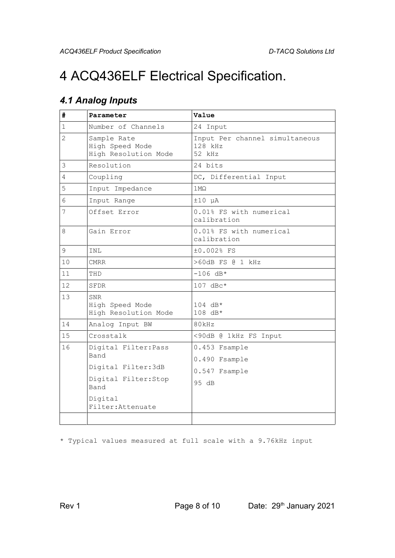# 4 ACQ436ELF Electrical Specification.

### *4.1 Analog Inputs*

| #                      | Parameter                                                                           | Value                                               |  |
|------------------------|-------------------------------------------------------------------------------------|-----------------------------------------------------|--|
| 1                      | Number of Channels                                                                  | 24 Input                                            |  |
| $\overline{2}$         | Sample Rate<br>High Speed Mode<br>High Resolution Mode                              | Input Per channel simultaneous<br>128 kHz<br>52 kHz |  |
| 3                      | Resolution                                                                          | 24 bits                                             |  |
| 4<br>Coupling          |                                                                                     | DC, Differential Input                              |  |
| 5                      | Input Impedance                                                                     | $1 \text{M}\Omega$                                  |  |
| 6                      | Input Range                                                                         | $±10$ µA                                            |  |
| 7                      | Offset Error                                                                        | 0.01% FS with numerical<br>calibration              |  |
| 8                      | Gain Error                                                                          | 0.01% FS with numerical<br>calibration              |  |
| 9<br>±0.002% FS<br>INL |                                                                                     |                                                     |  |
| 10<br><b>CMRR</b>      |                                                                                     | >60dB FS @ 1 kHz                                    |  |
| 11                     | THD                                                                                 | $-106$ dB*                                          |  |
| 12                     | SFDR                                                                                | $107$ dBc*                                          |  |
| 13                     | <b>SNR</b><br>High Speed Mode<br>High Resolution Mode                               | $104$ dB*<br>108 dB*                                |  |
| 14                     | Analog Input BW                                                                     | 80kHz                                               |  |
| 15                     | Crosstalk                                                                           | <90dB @ 1kHz FS Input                               |  |
| 16                     | Digital Filter: Pass<br>Band<br>Digital Filter: 3dB<br>Digital Filter: Stop<br>Band | 0.453 Fsample                                       |  |
|                        |                                                                                     | 0.490 Fsample                                       |  |
|                        |                                                                                     | 0.547 Fsample                                       |  |
|                        |                                                                                     | 95 dB                                               |  |
|                        | Digital<br>Filter: Attenuate                                                        |                                                     |  |
|                        |                                                                                     |                                                     |  |

\* Typical values measured at full scale with a 9.76kHz input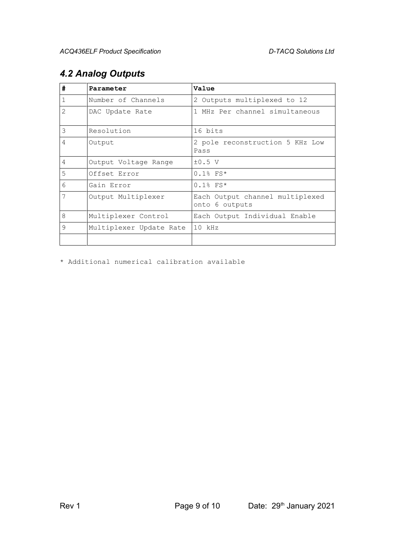| #              | Parameter               | Value                                             |
|----------------|-------------------------|---------------------------------------------------|
| $\mathbf{1}$   | Number of Channels      | 2 Outputs multiplexed to 12                       |
| $\overline{2}$ | DAC Update Rate         | 1 MHz Per channel simultaneous                    |
| 3              | Resolution              | 16 bits                                           |
| 4              | Output                  | 2 pole reconstruction 5 KHz Low<br>Pass           |
| $\overline{4}$ | Output Voltage Range    | $\pm 0.5$ V                                       |
| 5              | Offset Error            | $0.1$ % FS*                                       |
| 6              | Gain Error              | $0.1$ % FS*                                       |
| 7              | Output Multiplexer      | Each Output channel multiplexed<br>onto 6 outputs |
| 8              | Multiplexer Control     | Each Output Individual Enable                     |
| 9              | Multiplexer Update Rate | $10$ kHz                                          |
|                |                         |                                                   |

### *4.2 Analog Outputs*

\* Additional numerical calibration available